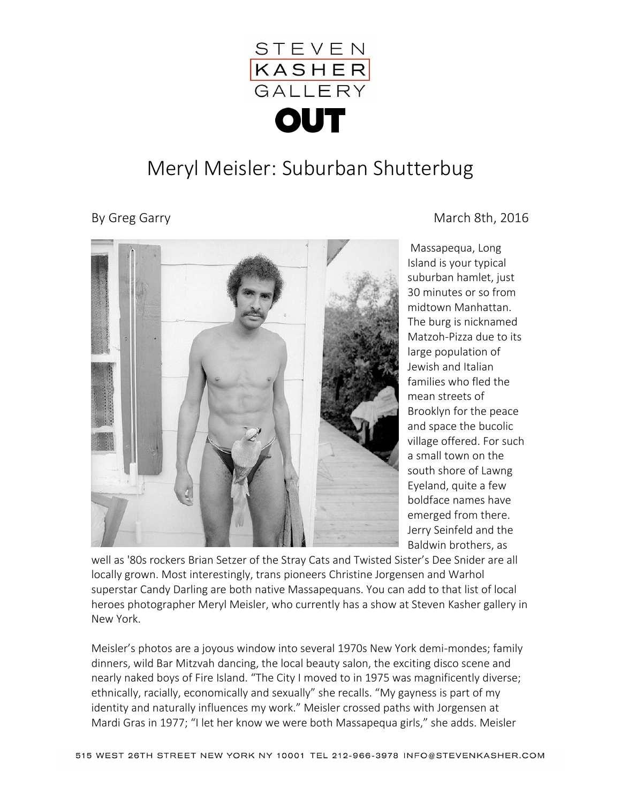

## Meryl Meisler: Suburban Shutterbug



By Greg Garry March 8th, 2016

Massapequa, Long Island is your typical suburban hamlet, just 30 minutes or so from midtown Manhattan. The burg is nicknamed Matzoh-Pizza due to its large population of Jewish and Italian families who fled the mean streets of Brooklyn for the peace and space the bucolic village offered. For such a small town on the south shore of Lawng Eyeland, quite a few boldface names have emerged from there. Jerry Seinfeld and the Baldwin brothers, as

well as '80s rockers Brian Setzer of the Stray Cats and Twisted Sister's Dee Snider are all locally grown. Most interestingly, trans pioneers Christine Jorgensen and Warhol superstar Candy Darling are both native Massapequans. You can add to that list of local heroes photographer Meryl Meisler, who currently has a show at Steven Kasher gallery in New York.

Meisler's photos are a joyous window into several 1970s New York demi-mondes; family dinners, wild Bar Mitzvah dancing, the local beauty salon, the exciting disco scene and nearly naked boys of Fire Island. "The City I moved to in 1975 was magnificently diverse; ethnically, racially, economically and sexually" she recalls. "My gayness is part of my identity and naturally influences my work." Meisler crossed paths with Jorgensen at Mardi Gras in 1977; "I let her know we were both Massapequa girls," she adds. Meisler